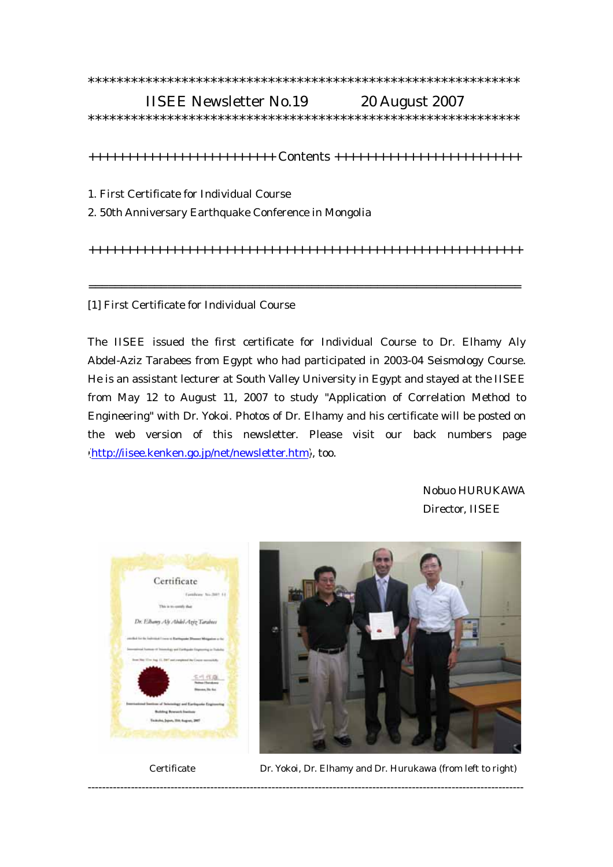## \*\*\*\*\*\*\*\*\*\*\*\*\*\*\*\*\*\*\*\*\*\*\*\*\*\*\*\*\*\*\*\*\*\*\*\*\*\*\*\*\*\*\*\*\*\*\*\*\*\*\*\*\*\*\*\*\*\*\*\* IISEE Newsletter No.19 20 August 2007

\*\*\*\*\*\*\*\*\*\*\*\*\*\*\*\*\*\*\*\*\*\*\*\*\*\*\*\*\*\*\*\*\*\*\*\*\*\*\*\*\*\*\*\*\*\*\*\*\*\*\*\*\*\*\*\*\*\*\*\*

+++++++++++++++++++++++++ Contents +++++++++++++++++++++++++

- 1. First Certificate for Individual Course
- 2. 50th Anniversary Earthquake Conference in Mongolia

++++++++++++++++++++++++++++++++++++++++++++++++++++++++++

==================================================================

## [1] First Certificate for Individual Course

The IISEE issued the first certificate for Individual Course to Dr. Elhamy Aly Abdel-Aziz Tarabees from Egypt who had participated in 2003-04 Seismology Course. He is an assistant lecturer at South Valley University in Egypt and stayed at the IISEE from May 12 to August 11, 2007 to study "Application of Correlation Method to Engineering" with Dr. Yokoi. Photos of Dr. Elhamy and his certificate will be posted on the web version of this newsletter. Please visit our back numbers page [\(http://iisee.kenken.go.jp/net/newsletter.htm\)](http://iisee.kenken.go.jp/net/newsletter.htm), too.

-------------------------------------------------------------------------------------------------------------------------

 Nobuo HURUKAWA Director, IISEE





Certificate Dr. Yokoi, Dr. Elhamy and Dr. Hurukawa (from left to right)